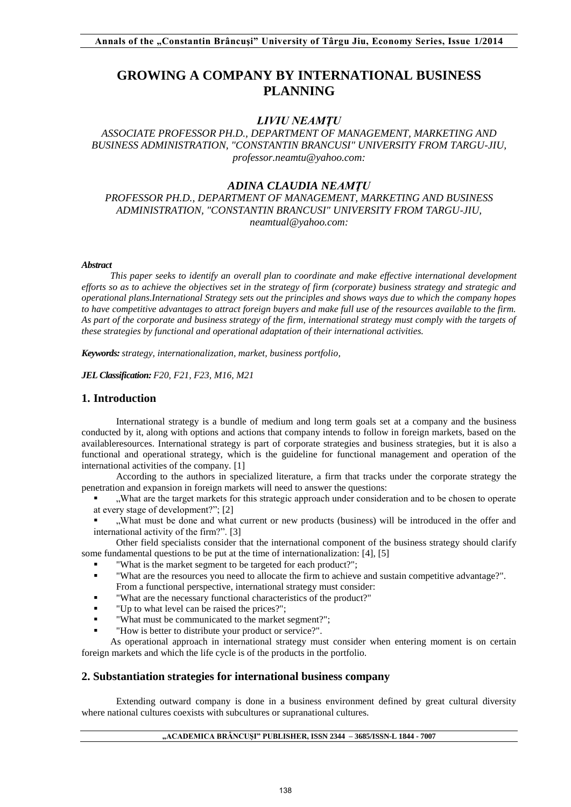# **GROWING A COMPANY BY INTERNATIONAL BUSINESS PLANNING**

# *LIVIU NEAMŢU*

# *ASSOCIATE PROFESSOR PH.D., DEPARTMENT OF MANAGEMENT, MARKETING AND BUSINESS ADMINISTRATION, "CONSTANTIN BRANCUSI" UNIVERSITY FROM TARGU-JIU, professor.neamtu@yahoo.com:*

### *ADINA CLAUDIA NEAMŢU*

*PROFESSOR PH.D., DEPARTMENT OF MANAGEMENT, MARKETING AND BUSINESS ADMINISTRATION, "CONSTANTIN BRANCUSI" UNIVERSITY FROM TARGU-JIU, neamtual@yahoo.com:*

#### *Abstract*

*This paper seeks to identify an overall plan to coordinate and make effective international development efforts so as to achieve the objectives set in the strategy of firm (corporate) business strategy and strategic and operational plans.International Strategy sets out the principles and shows ways due to which the company hopes to have competitive advantages to attract foreign buyers and make full use of the resources available to the firm. As part of the corporate and business strategy of the firm, international strategy must comply with the targets of these strategies by functional and operational adaptation of their international activities.* 

*Keywords: strategy, internationalization, market, business portfolio,* 

*JEL Classification: F20, F21, F23, M16, M21* 

# **1. Introduction**

International strategy is a bundle of medium and long term goals set at a company and the business conducted by it, along with options and actions that company intends to follow in foreign markets, based on the availableresources. International strategy is part of corporate strategies and business strategies, but it is also a functional and operational strategy, which is the guideline for functional management and operation of the international activities of the company. [1]

According to the authors in specialized literature, a firm that tracks under the corporate strategy the penetration and expansion in foreign markets will need to answer the questions:

- "What are the target markets for this strategic approach under consideration and to be chosen to operate at every stage of development?"; [2]
- "What must be done and what current or new products (business) will be introduced in the offer and international activity of the firm?". [3]

Other field specialists consider that the international component of the business strategy should clarify some fundamental questions to be put at the time of internationalization: [4], [5]

- "What is the market segment to be targeted for each product?";
- "What are the resources you need to allocate the firm to achieve and sustain competitive advantage?". From a functional perspective, international strategy must consider:
- "What are the necessary functional characteristics of the product?"
- "Up to what level can be raised the prices?";
- "What must be communicated to the market segment?";
- "How is better to distribute your product or service?".

As operational approach in international strategy must consider when entering moment is on certain foreign markets and which the life cycle is of the products in the portfolio.

### **2. Substantiation strategies for international business company**

Extending outward company is done in a business environment defined by great cultural diversity where national cultures coexists with subcultures or supranational cultures.

### **"ACADEMICA BRÂNCUŞI" PUBLISHER, ISSN 2344 – 3685/ISSN-L 1844 - 7007**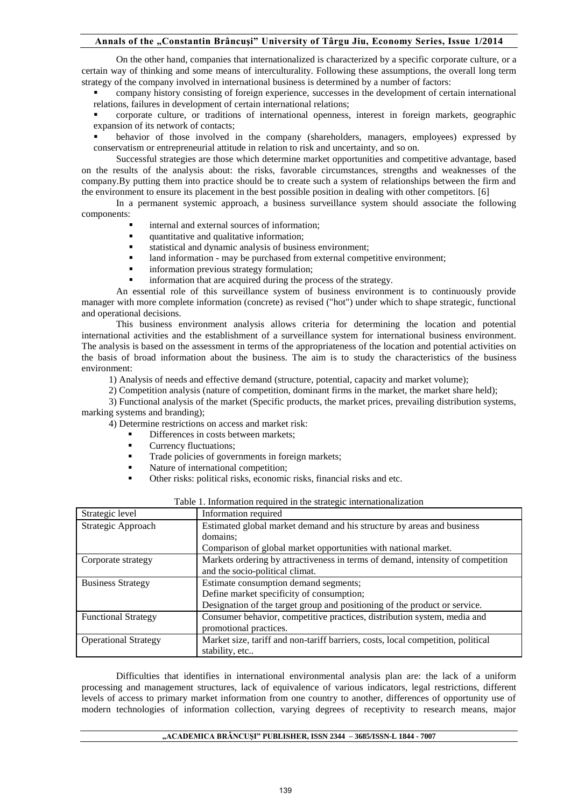### **Annals of the "Constantin Brâncuşi" University of Târgu Jiu, Economy Series, Issue 1/2014**

On the other hand, companies that internationalized is characterized by a specific corporate culture, or a certain way of thinking and some means of interculturality. Following these assumptions, the overall long term strategy of the company involved in international business is determined by a number of factors:

 company history consisting of foreign experience, successes in the development of certain international relations, failures in development of certain international relations;

 corporate culture, or traditions of international openness, interest in foreign markets, geographic expansion of its network of contacts;

 behavior of those involved in the company (shareholders, managers, employees) expressed by conservatism or entrepreneurial attitude in relation to risk and uncertainty, and so on.

Successful strategies are those which determine market opportunities and competitive advantage, based on the results of the analysis about: the risks, favorable circumstances, strengths and weaknesses of the company.By putting them into practice should be to create such a system of relationships between the firm and the environment to ensure its placement in the best possible position in dealing with other competitors. [6]

In a permanent systemic approach, a business surveillance system should associate the following components:

- internal and external sources of information;
- quantitative and qualitative information;
- statistical and dynamic analysis of business environment;
- land information may be purchased from external competitive environment;
- information previous strategy formulation;
- information that are acquired during the process of the strategy.

An essential role of this surveillance system of business environment is to continuously provide manager with more complete information (concrete) as revised ("hot") under which to shape strategic, functional and operational decisions.

This business environment analysis allows criteria for determining the location and potential international activities and the establishment of a surveillance system for international business environment. The analysis is based on the assessment in terms of the appropriateness of the location and potential activities on the basis of broad information about the business. The aim is to study the characteristics of the business environment:

1) Analysis of needs and effective demand (structure, potential, capacity and market volume);

2) Competition analysis (nature of competition, dominant firms in the market, the market share held);

3) Functional analysis of the market (Specific products, the market prices, prevailing distribution systems, marking systems and branding);

4) Determine restrictions on access and market risk:

- Differences in costs between markets;
- Currency fluctuations;
- Trade policies of governments in foreign markets;
- Nature of international competition;
- Other risks: political risks, economic risks, financial risks and etc.

| Strategic level             | Information required                                                             |  |  |  |
|-----------------------------|----------------------------------------------------------------------------------|--|--|--|
| Strategic Approach          | Estimated global market demand and his structure by areas and business           |  |  |  |
|                             | domains:                                                                         |  |  |  |
|                             | Comparison of global market opportunities with national market.                  |  |  |  |
| Corporate strategy          | Markets ordering by attractiveness in terms of demand, intensity of competition  |  |  |  |
|                             | and the socio-political climat.                                                  |  |  |  |
| <b>Business Strategy</b>    | Estimate consumption demand segments;                                            |  |  |  |
|                             | Define market specificity of consumption;                                        |  |  |  |
|                             | Designation of the target group and positioning of the product or service.       |  |  |  |
| <b>Functional Strategy</b>  | Consumer behavior, competitive practices, distribution system, media and         |  |  |  |
|                             | promotional practices.                                                           |  |  |  |
| <b>Operational Strategy</b> | Market size, tariff and non-tariff barriers, costs, local competition, political |  |  |  |
|                             | stability, etc                                                                   |  |  |  |

|  |  | Table 1. Information required in the strategic internationalization |
|--|--|---------------------------------------------------------------------|
|  |  |                                                                     |

Difficulties that identifies in international environmental analysis plan are: the lack of a uniform processing and management structures, lack of equivalence of various indicators, legal restrictions, different levels of access to primary market information from one country to another, differences of opportunity use of modern technologies of information collection, varying degrees of receptivity to research means, major

#### **"ACADEMICA BRÂNCUŞI" PUBLISHER, ISSN 2344 – 3685/ISSN-L 1844 - 7007**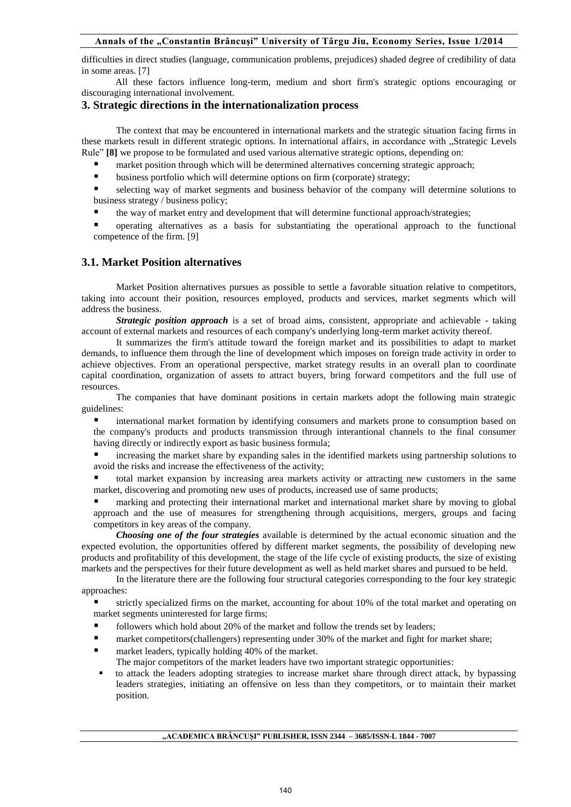difficulties in direct studies (language, communication problems, prejudices) shaded degree of credibility of data in some areas. [7]

All these factors influence long-term, medium and short firm's strategic options encouraging or discouraging international involvement.

### **3. Strategic directions in the internationalization process**

The context that may be encountered in international markets and the strategic situation facing firms in these markets result in different strategic options. In international affairs, in accordance with "Strategic Levels Rule" **[8]** we propose to be formulated and used various alternative strategic options, depending on:

- market position through which will be determined alternatives concerning strategic approach;
- business portfolio which will determine options on firm (corporate) strategy;

 selecting way of market segments and business behavior of the company will determine solutions to business strategy / business policy;

the way of market entry and development that will determine functional approach/strategies;

 operating alternatives as a basis for substantiating the operational approach to the functional competence of the firm. [9]

# **3.1. Market Position alternatives**

Market Position alternatives pursues as possible to settle a favorable situation relative to competitors, taking into account their position, resources employed, products and services, market segments which will address the business.

*Strategic position approach* is a set of broad aims, consistent, appropriate and achievable - taking account of external markets and resources of each company's underlying long-term market activity thereof.

It summarizes the firm's attitude toward the foreign market and its possibilities to adapt to market demands, to influence them through the line of development which imposes on foreign trade activity in order to achieve objectives. From an operational perspective, market strategy results in an overall plan to coordinate capital coordination, organization of assets to attract buyers, bring forward competitors and the full use of resources.

The companies that have dominant positions in certain markets adopt the following main strategic guidelines:

 international market formation by identifying consumers and markets prone to consumption based on the company's products and products transmission through interantional channels to the final consumer having directly or indirectly export as basic business formula;

 increasing the market share by expanding sales in the identified markets using partnership solutions to avoid the risks and increase the effectiveness of the activity;

 total market expansion by increasing area markets activity or attracting new customers in the same market, discovering and promoting new uses of products, increased use of same products;

 marking and protecting their international market and international market share by moving to global approach and the use of measures for strengthening through acquisitions, mergers, groups and facing competitors in key areas of the company.

*Choosing one of the four strategies* available is determined by the actual economic situation and the expected evolution, the opportunities offered by different market segments, the possibility of developing new products and profitability of this development, the stage of the life cycle of existing products, the size of existing markets and the perspectives for their future development as well as held market shares and pursued to be held.

In the literature there are the following four structural categories corresponding to the four key strategic approaches:

 strictly specialized firms on the market, accounting for about 10% of the total market and operating on market segments uninterested for large firms;

- followers which hold about 20% of the market and follow the trends set by leaders;
- market competitors(challengers) representing under 30% of the market and fight for market share;
- market leaders, typically holding 40% of the market.
	- The major competitors of the market leaders have two important strategic opportunities:
- to attack the leaders adopting strategies to increase market share through direct attack, by bypassing leaders strategies, initiating an offensive on less than they competitors, or to maintain their market position.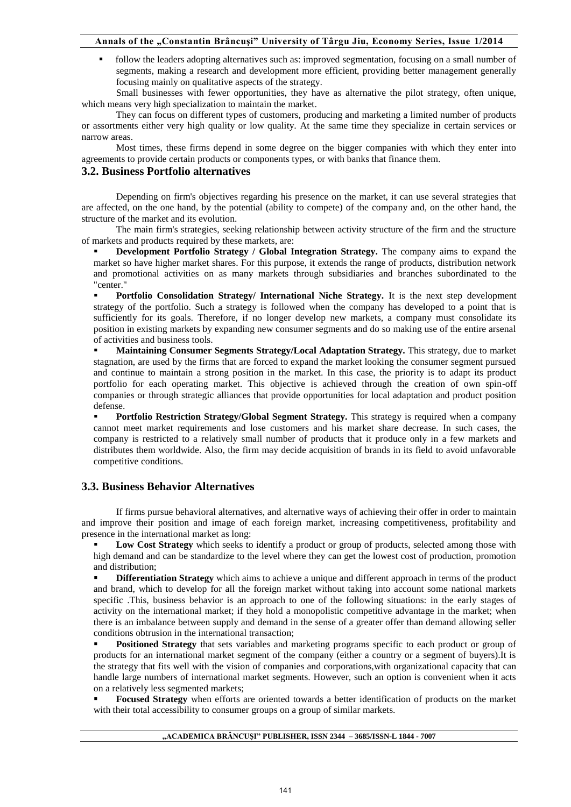follow the leaders adopting alternatives such as: improved segmentation, focusing on a small number of segments, making a research and development more efficient, providing better management generally focusing mainly on qualitative aspects of the strategy.

Small businesses with fewer opportunities, they have as alternative the pilot strategy, often unique, which means very high specialization to maintain the market.

They can focus on different types of customers, producing and marketing a limited number of products or assortments either very high quality or low quality. At the same time they specialize in certain services or narrow areas.

Most times, these firms depend in some degree on the bigger companies with which they enter into agreements to provide certain products or components types, or with banks that finance them.

# **3.2. Business Portfolio alternatives**

Depending on firm's objectives regarding his presence on the market, it can use several strategies that are affected, on the one hand, by the potential (ability to compete) of the company and, on the other hand, the structure of the market and its evolution.

The main firm's strategies, seeking relationship between activity structure of the firm and the structure of markets and products required by these markets, are:

**Development Portfolio Strategy / Global Integration Strategy.** The company aims to expand the market so have higher market shares. For this purpose, it extends the range of products, distribution network and promotional activities on as many markets through subsidiaries and branches subordinated to the "center."

 **Portfolio Consolidation Strategy/ International Niche Strategy.** It is the next step development strategy of the portfolio. Such a strategy is followed when the company has developed to a point that is sufficiently for its goals. Therefore, if no longer develop new markets, a company must consolidate its position in existing markets by expanding new consumer segments and do so making use of the entire arsenal of activities and business tools.

 **Maintaining Consumer Segments Strategy/Local Adaptation Strategy.** This strategy, due to market stagnation, are used by the firms that are forced to expand the market looking the consumer segment pursued and continue to maintain a strong position in the market. In this case, the priority is to adapt its product portfolio for each operating market. This objective is achieved through the creation of own spin-off companies or through strategic alliances that provide opportunities for local adaptation and product position defense.

 **Portfolio Restriction Strategy/Global Segment Strategy.** This strategy is required when a company cannot meet market requirements and lose customers and his market share decrease. In such cases, the company is restricted to a relatively small number of products that it produce only in a few markets and distributes them worldwide. Also, the firm may decide acquisition of brands in its field to avoid unfavorable competitive conditions.

# **3.3. Business Behavior Alternatives**

If firms pursue behavioral alternatives, and alternative ways of achieving their offer in order to maintain and improve their position and image of each foreign market, increasing competitiveness, profitability and presence in the international market as long:

Low Cost Strategy which seeks to identify a product or group of products, selected among those with high demand and can be standardize to the level where they can get the lowest cost of production, promotion and distribution;

 **Differentiation Strategy** which aims to achieve a unique and different approach in terms of the product and brand, which to develop for all the foreign market without taking into account some national markets specific .This, business behavior is an approach to one of the following situations: in the early stages of activity on the international market; if they hold a monopolistic competitive advantage in the market; when there is an imbalance between supply and demand in the sense of a greater offer than demand allowing seller conditions obtrusion in the international transaction;

 **Positioned Strategy** that sets variables and marketing programs specific to each product or group of products for an international market segment of the company (either a country or a segment of buyers).It is the strategy that fits well with the vision of companies and corporations,with organizational capacity that can handle large numbers of international market segments. However, such an option is convenient when it acts on a relatively less segmented markets;

 **Focused Strategy** when efforts are oriented towards a better identification of products on the market with their total accessibility to consumer groups on a group of similar markets.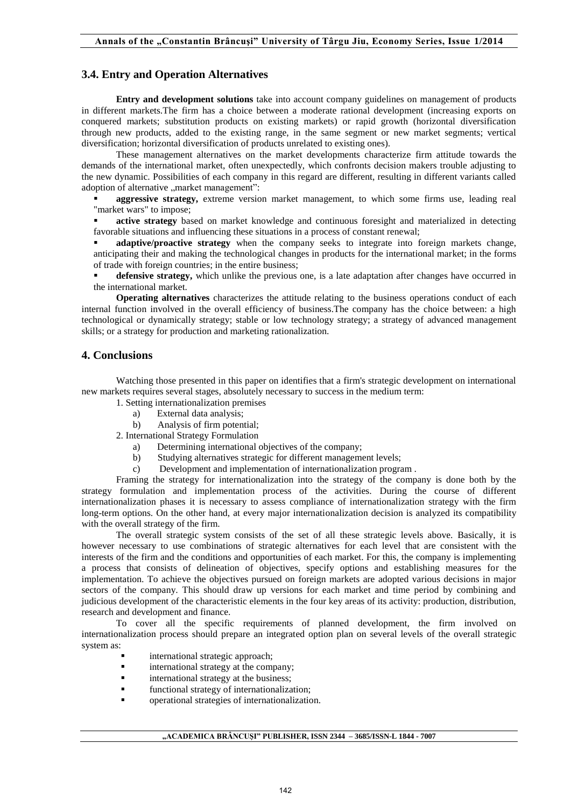### **3.4. Entry and Operation Alternatives**

**Entry and development solutions** take into account company guidelines on management of products in different markets.The firm has a choice between a moderate rational development (increasing exports on conquered markets; substitution products on existing markets) or rapid growth (horizontal diversification through new products, added to the existing range, in the same segment or new market segments; vertical diversification; horizontal diversification of products unrelated to existing ones).

These management alternatives on the market developments characterize firm attitude towards the demands of the international market, often unexpectedly, which confronts decision makers trouble adjusting to the new dynamic. Possibilities of each company in this regard are different, resulting in different variants called adoption of alternative "market management":

 **aggressive strategy,** extreme version market management, to which some firms use, leading real "market wars" to impose;

 **active strategy** based on market knowledge and continuous foresight and materialized in detecting favorable situations and influencing these situations in a process of constant renewal;

 **adaptive/proactive strategy** when the company seeks to integrate into foreign markets change, anticipating their and making the technological changes in products for the international market; in the forms of trade with foreign countries; in the entire business;

 **defensive strategy,** which unlike the previous one, is a late adaptation after changes have occurred in the international market.

**Operating alternatives** characterizes the attitude relating to the business operations conduct of each internal function involved in the overall efficiency of business.The company has the choice between: a high technological or dynamically strategy; stable or low technology strategy; a strategy of advanced management skills; or a strategy for production and marketing rationalization.

### **4. Conclusions**

Watching those presented in this paper on identifies that a firm's strategic development on international new markets requires several stages, absolutely necessary to success in the medium term:

- 1. Setting internationalization premises
	- a) External data analysis;
	- b) Analysis of firm potential;
- 2. International Strategy Formulation
	- a) Determining international objectives of the company;
	- b) Studying alternatives strategic for different management levels;
	- c) Development and implementation of internationalization program .

Framing the strategy for internationalization into the strategy of the company is done both by the strategy formulation and implementation process of the activities. During the course of different internationalization phases it is necessary to assess compliance of internationalization strategy with the firm long-term options. On the other hand, at every major internationalization decision is analyzed its compatibility with the overall strategy of the firm.

The overall strategic system consists of the set of all these strategic levels above. Basically, it is however necessary to use combinations of strategic alternatives for each level that are consistent with the interests of the firm and the conditions and opportunities of each market. For this, the company is implementing a process that consists of delineation of objectives, specify options and establishing measures for the implementation. To achieve the objectives pursued on foreign markets are adopted various decisions in major sectors of the company. This should draw up versions for each market and time period by combining and judicious development of the characteristic elements in the four key areas of its activity: production, distribution, research and development and finance.

To cover all the specific requirements of planned development, the firm involved on internationalization process should prepare an integrated option plan on several levels of the overall strategic system as:

- international strategic approach;
- **i** international strategy at the company;
- **i** international strategy at the business;
- functional strategy of internationalization;
- operational strategies of internationalization.